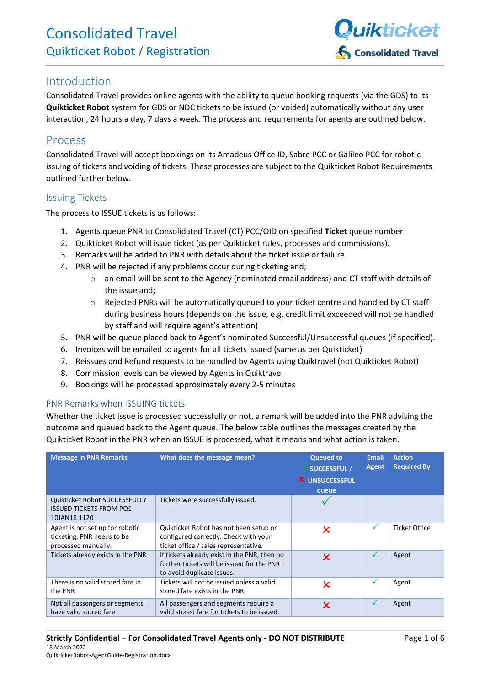

## Introduction

Consolidated Travel provides online agents with the ability to queue booking requests (via the GDS) to its **Quikticket Robot** system for GDS or NDC tickets to be issued (or voided) automatically without any user interaction, 24 hours a day, 7 days a week. The process and requirements for agents are outlined below.

## Process

Consolidated Travel will accept bookings on its Amadeus Office ID, Sabre PCC or Galileo PCC for robotic issuing of tickets and voiding of tickets. These processes are subject to the Quikticket Robot Requirements outlined further below.

#### Issuing Tickets

The process to ISSUE tickets is as follows:

- 1. Agents queue PNR to Consolidated Travel (CT) PCC/OID on specified **Ticket** queue number
- 2. Quikticket Robot will issue ticket (as per Quikticket rules, processes and commissions).
- 3. Remarks will be added to PNR with details about the ticket issue or failure
- 4. PNR will be rejected if any problems occur during ticketing and;
	- o an email will be sent to the Agency (nominated email address) and CT staff with details of the issue and;
	- o Rejected PNRs will be automatically queued to your ticket centre and handled by CT staff during business hours (depends on the issue, e.g. credit limit exceeded will not be handled by staff and will require agent's attention)
- 5. PNR will be queue placed back to Agent's nominated Successful/Unsuccessful queues (if specified).
- 6. Invoices will be emailed to agents for all tickets issued (same as per Quikticket)
- 7. Reissues and Refund requests to be handled by Agents using Quiktravel (not Quikticket Robot)
- 8. Commission levels can be viewed by Agents in Quiktravel
- 9. Bookings will be processed approximately every 2-5 minutes

#### PNR Remarks when ISSUING tickets

Whether the ticket issue is processed successfully or not, a remark will be added into the PNR advising the outcome and queued back to the Agent queue. The below table outlines the messages created by the Quikticket Robot in the PNR when an ISSUE is processed, what it means and what action is taken.

| <b>Message in PNR Remarks</b>                                                        | What does the message mean?                                                                                                | <b>Queued to</b><br><b>SUCCESSFUL /</b><br><b>X</b> UNSUCCESSFUL<br>queue | <b>Email</b><br>Agent | <b>Action</b><br><b>Required By</b> |
|--------------------------------------------------------------------------------------|----------------------------------------------------------------------------------------------------------------------------|---------------------------------------------------------------------------|-----------------------|-------------------------------------|
| Quikticket Robot SUCCESSFULLY<br><b>ISSUED TICKETS FROM PQ1</b><br>10JAN18 1120      | Tickets were successfully issued.                                                                                          |                                                                           |                       |                                     |
| Agent is not set up for robotic<br>ticketing. PNR needs to be<br>processed manually. | Quikticket Robot has not been setup or<br>configured correctly. Check with your<br>ticket office / sales representative.   | $\pmb{\times}$                                                            | $\checkmark$          | <b>Ticket Office</b>                |
| Tickets already exists in the PNR                                                    | If tickets already exist in the PNR, then no<br>further tickets will be issued for the PNR -<br>to avoid duplicate issues. | $\boldsymbol{\mathsf{x}}$                                                 | $\checkmark$          | Agent                               |
| There is no valid stored fare in<br>the PNR                                          | Tickets will not be issued unless a valid<br>stored fare exists in the PNR                                                 | $\pmb{\times}$                                                            | ✓                     | Agent                               |
| Not all passengers or segments<br>have valid stored fare                             | All passengers and segments require a<br>valid stored fare for tickets to be issued.                                       | $\boldsymbol{\mathsf{x}}$                                                 | $\checkmark$          | Agent                               |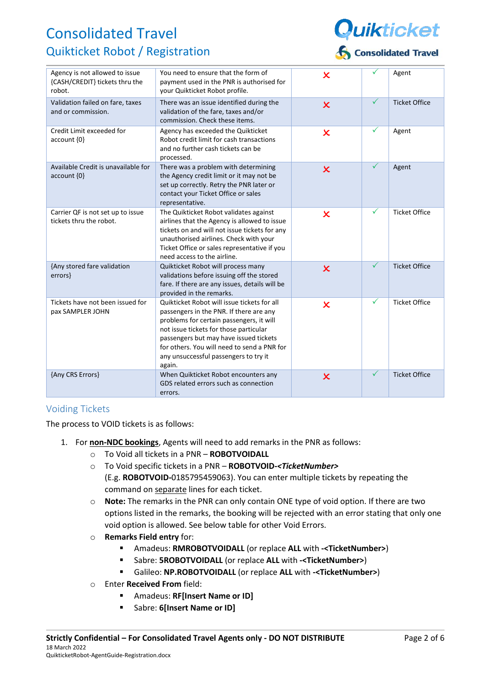

| Agency is not allowed to issue<br>{CASH/CREDIT} tickets thru the<br>robot. | You need to ensure that the form of<br>payment used in the PNR is authorised for<br>your Quikticket Robot profile.                                                                                                                                                                                                       | $\overline{\mathsf{x}}$   | ✓            | Agent                |
|----------------------------------------------------------------------------|--------------------------------------------------------------------------------------------------------------------------------------------------------------------------------------------------------------------------------------------------------------------------------------------------------------------------|---------------------------|--------------|----------------------|
| Validation failed on fare, taxes<br>and or commission.                     | There was an issue identified during the<br>validation of the fare, taxes and/or<br>commission. Check these items.                                                                                                                                                                                                       | $\overline{\mathsf{x}}$   | $\checkmark$ | <b>Ticket Office</b> |
| Credit Limit exceeded for<br>$account \{0\}$                               | Agency has exceeded the Quikticket<br>Robot credit limit for cash transactions<br>and no further cash tickets can be<br>processed.                                                                                                                                                                                       | $\overline{\mathsf{x}}$   | $\checkmark$ | Agent                |
| Available Credit is unavailable for<br>account {0}                         | There was a problem with determining<br>the Agency credit limit or it may not be<br>set up correctly. Retry the PNR later or<br>contact your Ticket Office or sales<br>representative.                                                                                                                                   | $\overline{\mathsf{x}}$   | $\checkmark$ | Agent                |
| Carrier QF is not set up to issue<br>tickets thru the robot.               | The Quikticket Robot validates against<br>airlines that the Agency is allowed to issue<br>tickets on and will not issue tickets for any<br>unauthorised airlines. Check with your<br>Ticket Office or sales representative if you<br>need access to the airline.                                                         | $\boldsymbol{\mathsf{x}}$ | $\checkmark$ | <b>Ticket Office</b> |
| {Any stored fare validation<br>errors}                                     | Quikticket Robot will process many<br>validations before issuing off the stored<br>fare. If there are any issues, details will be<br>provided in the remarks.                                                                                                                                                            | $\overline{\mathsf{x}}$   | $\checkmark$ | <b>Ticket Office</b> |
| Tickets have not been issued for<br>pax SAMPLER JOHN                       | Ouikticket Robot will issue tickets for all<br>passengers in the PNR. If there are any<br>problems for certain passengers, it will<br>not issue tickets for those particular<br>passengers but may have issued tickets<br>for others. You will need to send a PNR for<br>any unsuccessful passengers to try it<br>again. | $\overline{\mathsf{x}}$   | $\checkmark$ | <b>Ticket Office</b> |
| {Any CRS Errors}                                                           | When Quikticket Robot encounters any<br>GDS related errors such as connection<br>errors.                                                                                                                                                                                                                                 | $\overline{\mathsf{x}}$   | $\checkmark$ | <b>Ticket Office</b> |

### Voiding Tickets

The process to VOID tickets is as follows:

- 1. For **non-NDC bookings**, Agents will need to add remarks in the PNR as follows:
	- o To Void all tickets in a PNR **ROBOTVOIDALL**
	- o To Void specific tickets in a PNR **ROBOTVOID-***<TicketNumber>*  (E.g. **ROBOTVOID-**0185795459063). You can enter multiple tickets by repeating the command on separate lines for each ticket.
	- o **Note:** The remarks in the PNR can only contain ONE type of void option. If there are two options listed in the remarks, the booking will be rejected with an error stating that only one void option is allowed. See below table for other Void Errors.
	- o **Remarks Field entry** for:
		- Amadeus: **RMROBOTVOIDALL** (or replace **ALL** with **-<TicketNumber>**)
		- Sabre: **5ROBOTVOIDALL** (or replace **ALL** with **-<TicketNumber>**)
		- Galileo: **NP.ROBOTVOIDALL** (or replace **ALL** with **-<TicketNumber>**)
	- o Enter **Received From** field:
		- Amadeus: **RF[Insert Name or ID]**
		- Sabre: **6[Insert Name or ID]**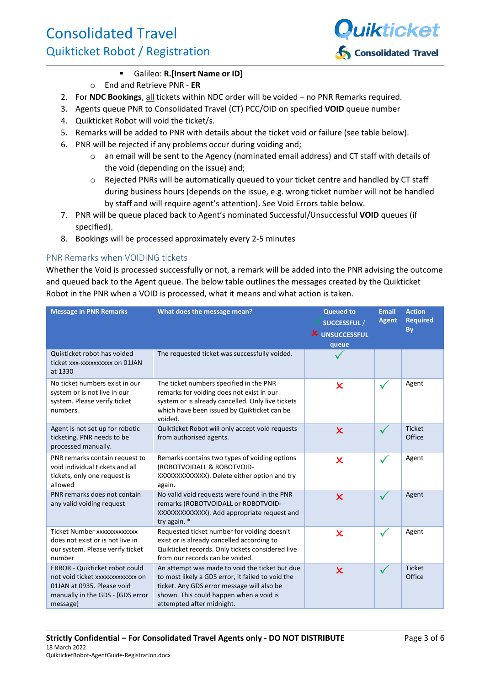

#### Galileo: **R.[Insert Name or ID]**

- o End and Retrieve PNR **ER**
- 2. For **NDC Bookings**, all tickets within NDC order will be voided no PNR Remarks required.
- 3. Agents queue PNR to Consolidated Travel (CT) PCC/OID on specified **VOID** queue number
- 4. Quikticket Robot will void the ticket/s.
- 5. Remarks will be added to PNR with details about the ticket void or failure (see table below).
- 6. PNR will be rejected if any problems occur during voiding and;
	- o an email will be sent to the Agency (nominated email address) and CT staff with details of the void (depending on the issue) and;
	- o Rejected PNRs will be automatically queued to your ticket centre and handled by CT staff during business hours (depends on the issue, e.g. wrong ticket number will not be handled by staff and will require agent's attention). See Void Errors table below.
- 7. PNR will be queue placed back to Agent's nominated Successful/Unsuccessful **VOID** queues (if specified).
- 8. Bookings will be processed approximately every 2-5 minutes

#### PNR Remarks when VOIDING tickets

Whether the Void is processed successfully or not, a remark will be added into the PNR advising the outcome and queued back to the Agent queue. The below table outlines the messages created by the Quikticket Robot in the PNR when a VOID is processed, what it means and what action is taken.

| <b>Message in PNR Remarks</b>                                                                                                                              | What does the message mean?                                                                                                                                                                                               | <b>Queued to</b><br>SUCCESSFUL /<br><b>X</b> UNSUCCESSFUL<br>queue | <b>Email</b><br><b>Agent</b> | <b>Action</b><br><b>Required</b><br><b>By</b> |
|------------------------------------------------------------------------------------------------------------------------------------------------------------|---------------------------------------------------------------------------------------------------------------------------------------------------------------------------------------------------------------------------|--------------------------------------------------------------------|------------------------------|-----------------------------------------------|
| Quikticket robot has voided<br>ticket xxx-xxxxxxxxxx on 01JAN<br>at 1330                                                                                   | The requested ticket was successfully voided.                                                                                                                                                                             |                                                                    |                              |                                               |
| No ticket numbers exist in our<br>system or is not live in our<br>system. Please verify ticket<br>numbers.                                                 | The ticket numbers specified in the PNR<br>remarks for voiding does not exist in our<br>system or is already cancelled. Only live tickets<br>which have been issued by Quikticket can be<br>voided.                       | $\boldsymbol{\mathsf{x}}$                                          | $\checkmark$                 | Agent                                         |
| Agent is not set up for robotic<br>ticketing. PNR needs to be<br>processed manually.                                                                       | Quikticket Robot will only accept void requests<br>from authorised agents.                                                                                                                                                | $\overline{\mathsf{x}}$                                            | $\checkmark$                 | <b>Ticket</b><br>Office                       |
| PNR remarks contain request to<br>void individual tickets and all<br>tickets, only one request is<br>allowed                                               | Remarks contains two types of voiding options<br>(ROBOTVOIDALL & ROBOTVOID-<br>XXXXXXXXXXXX). Delete either option and try<br>again.                                                                                      | $\boldsymbol{\mathsf{x}}$                                          | $\checkmark$                 | Agent                                         |
| PNR remarks does not contain<br>any valid voiding request                                                                                                  | No valid void requests were found in the PNR<br>remarks (ROBOTVOIDALL or ROBOTVOID-<br>XXXXXXXXXXXX). Add appropriate request and<br>try again. *                                                                         | $\overline{\mathsf{x}}$                                            | ✓                            | Agent                                         |
| Ticket Number xxxxxxxxxxxxx<br>does not exist or is not live in<br>our system. Please verify ticket<br>number                                              | Requested ticket number for voiding doesn't<br>exist or is already cancelled according to<br>Quikticket records. Only tickets considered live<br>from our records can be voided.                                          | $\boldsymbol{\mathsf{x}}$                                          | $\checkmark$                 | Agent                                         |
| <b>ERROR - Quikticket robot could</b><br>not void ticket xxxxxxxxxxxxx on<br>01JAN at 0935. Please void<br>manually in the GDS - {GDS error<br>$message$ } | An attempt was made to void the ticket but due<br>to most likely a GDS error, it failed to void the<br>ticket. Any GDS error message will also be<br>shown. This could happen when a void is<br>attempted after midnight. | $\overline{\mathsf{x}}$                                            | ✓                            | <b>Ticket</b><br>Office                       |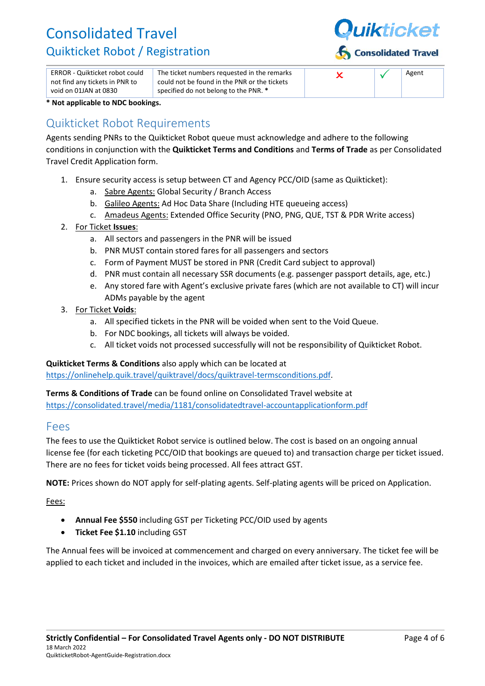

| ERROR - Quikticket robot could                          | The ticket numbers requested in the remarks                                           |  | Agent |
|---------------------------------------------------------|---------------------------------------------------------------------------------------|--|-------|
| not find any tickets in PNR to<br>void on 01JAN at 0830 | could not be found in the PNR or the tickets<br>specified do not belong to the PNR. * |  |       |

**\* Not applicable to NDC bookings.**

## Quikticket Robot Requirements

Agents sending PNRs to the Quikticket Robot queue must acknowledge and adhere to the following conditions in conjunction with the **Quikticket Terms and Conditions** and **Terms of Trade** as per Consolidated Travel Credit Application form.

- 1. Ensure security access is setup between CT and Agency PCC/OID (same as Quikticket):
	- a. Sabre Agents: Global Security / Branch Access
	- b. Galileo Agents: Ad Hoc Data Share (Including HTE queueing access)
	- c. Amadeus Agents: Extended Office Security (PNO, PNG, QUE, TST & PDR Write access)
- 2. For Ticket **Issues**:
	- a. All sectors and passengers in the PNR will be issued
	- b. PNR MUST contain stored fares for all passengers and sectors
	- c. Form of Payment MUST be stored in PNR (Credit Card subject to approval)
	- d. PNR must contain all necessary SSR documents (e.g. passenger passport details, age, etc.)
	- e. Any stored fare with Agent's exclusive private fares (which are not available to CT) will incur ADMs payable by the agent
- 3. For Ticket **Voids**:
	- a. All specified tickets in the PNR will be voided when sent to the Void Queue.
	- b. For NDC bookings, all tickets will always be voided.
	- c. All ticket voids not processed successfully will not be responsibility of Quikticket Robot.

#### **Quikticket Terms & Conditions** also apply which can be located at

[https://onlinehelp.quik.travel/quiktravel/docs/quiktravel-termsconditions.pdf.](https://onlinehelp.quik.travel/quiktravel/docs/quiktravel-termsconditions.pdf)

#### **Terms & Conditions of Trade** can be found online on Consolidated Travel website at

<https://consolidated.travel/media/1181/consolidatedtravel-accountapplicationform.pdf>

#### Fees

The fees to use the Quikticket Robot service is outlined below. The cost is based on an ongoing annual license fee (for each ticketing PCC/OID that bookings are queued to) and transaction charge per ticket issued. There are no fees for ticket voids being processed. All fees attract GST.

**NOTE:** Prices shown do NOT apply for self-plating agents. Self-plating agents will be priced on Application.

Fees:

- **Annual Fee \$550** including GST per Ticketing PCC/OID used by agents
- **Ticket Fee \$1.10** including GST

The Annual fees will be invoiced at commencement and charged on every anniversary. The ticket fee will be applied to each ticket and included in the invoices, which are emailed after ticket issue, as a service fee.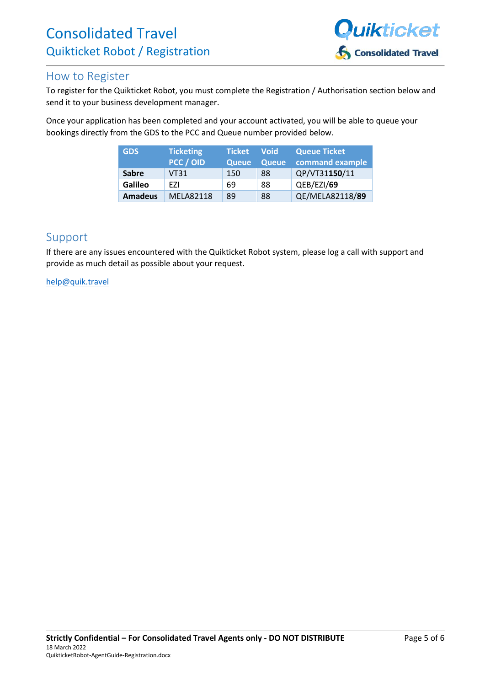

## How to Register

To register for the Quikticket Robot, you must complete the Registration / Authorisation section below and send it to your business development manager.

Once your application has been completed and your account activated, you will be able to queue your bookings directly from the GDS to the PCC and Queue number provided below.

| <b>GDS</b>     | <b>Ticketing</b> | <b>Ticket</b> | <b>Void</b>  | <b>Queue Ticket</b> |
|----------------|------------------|---------------|--------------|---------------------|
|                | PCC / OID        | Queue         | <b>Queue</b> | command example     |
| <b>Sabre</b>   | <b>VT31</b>      | 150           | 88           | QP/VT31150/11       |
| <b>Galileo</b> | F71              | 69            | 88           | QEB/EZI/69          |
| <b>Amadeus</b> | <b>MELA82118</b> | 89            | 88           | QE/MELA82118/89     |

## Support

If there are any issues encountered with the Quikticket Robot system, please log a call with support and provide as much detail as possible about your request.

#### [help@quik.travel](mailto:help@quik.travel)